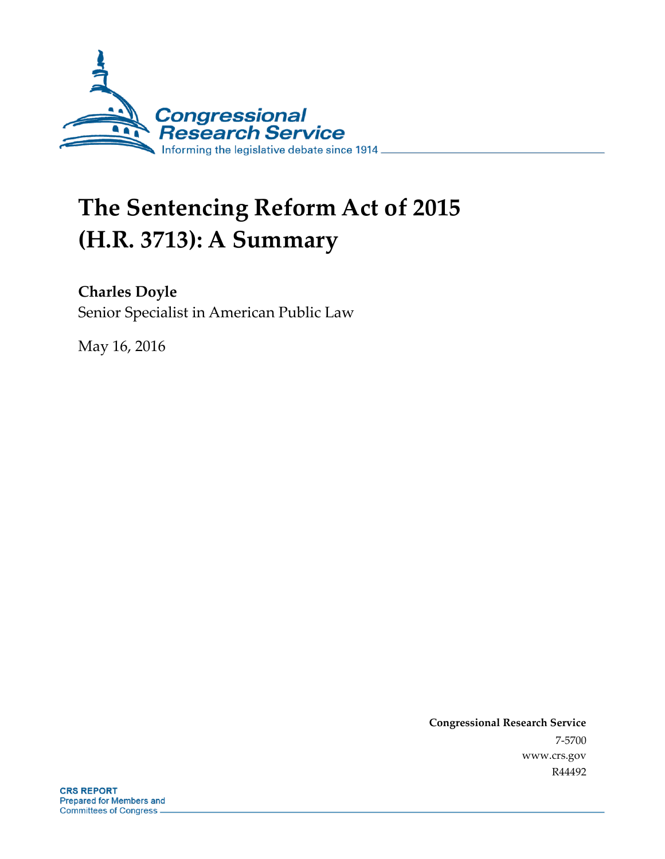

# **The Sentencing Reform Act of 2015 (H.R. 3713): A Summary**

#### **Charles Doyle**

Senior Specialist in American Public Law

May 16, 2016

**Congressional Research Service** 7-5700 www.crs.gov R44492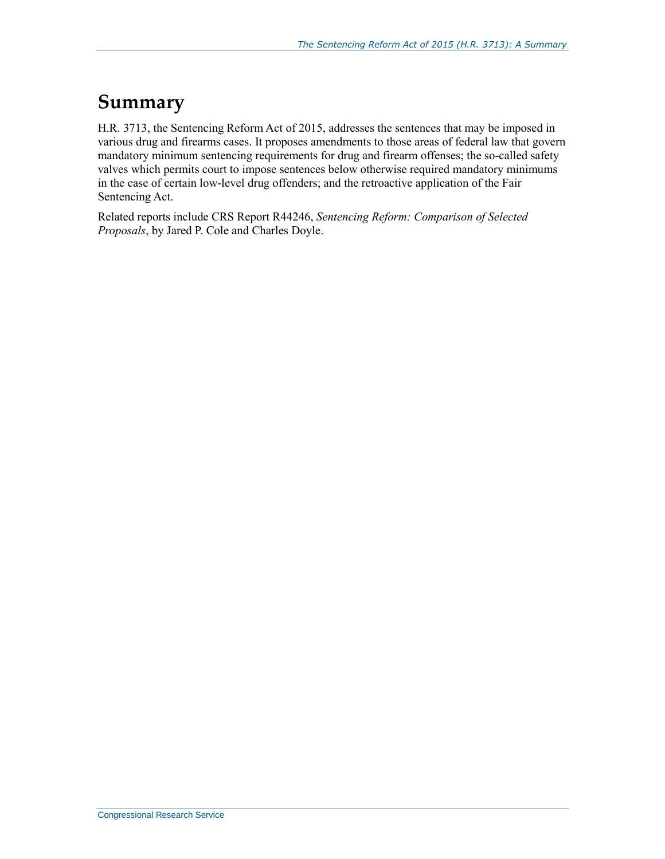#### **Summary**

H.R. 3713, the Sentencing Reform Act of 2015, addresses the sentences that may be imposed in various drug and firearms cases. It proposes amendments to those areas of federal law that govern mandatory minimum sentencing requirements for drug and firearm offenses; the so-called safety valves which permits court to impose sentences below otherwise required mandatory minimums in the case of certain low-level drug offenders; and the retroactive application of the Fair Sentencing Act.

Related reports include CRS Report R44246, *Sentencing Reform: Comparison of Selected Proposals*, by Jared P. Cole and Charles Doyle.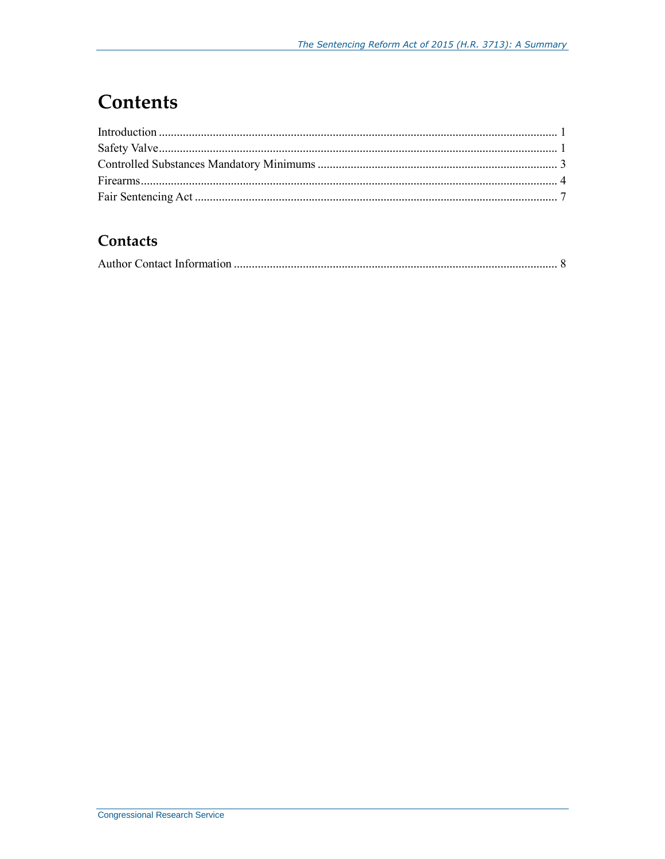### **Contents**

#### Contacts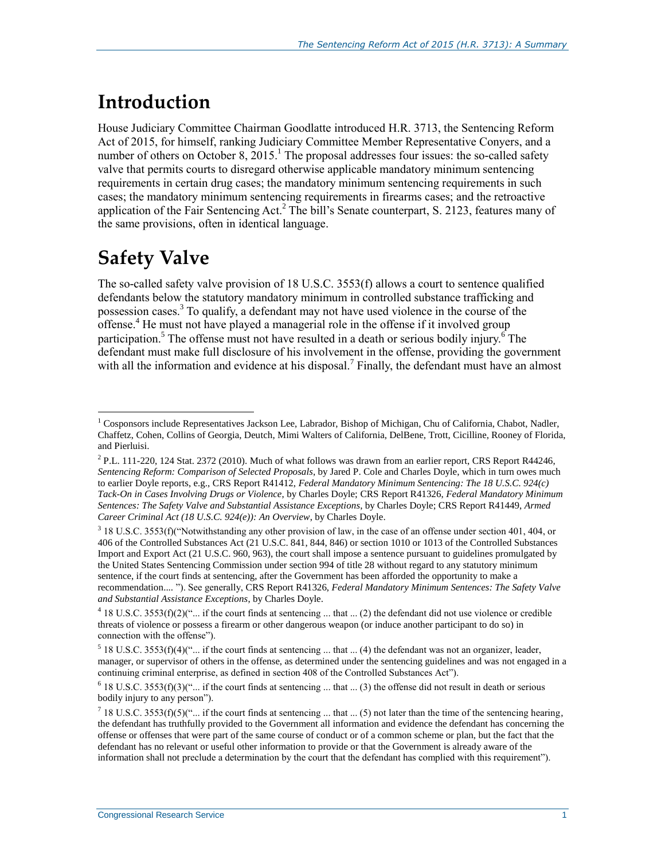#### **Introduction**

House Judiciary Committee Chairman Goodlatte introduced H.R. 3713, the Sentencing Reform Act of 2015, for himself, ranking Judiciary Committee Member Representative Conyers, and a number of others on October 8, 2015.<sup>1</sup> The proposal addresses four issues: the so-called safety valve that permits courts to disregard otherwise applicable mandatory minimum sentencing requirements in certain drug cases; the mandatory minimum sentencing requirements in such cases; the mandatory minimum sentencing requirements in firearms cases; and the retroactive application of the Fair Sentencing Act.<sup>2</sup> The bill's Senate counterpart, [S. 2123,](http://www.congress.gov/cgi-lis/bdquery/z?d114:S.2123:) features many of the same provisions, often in identical language.

### **Safety Valve**

 $\overline{a}$ 

The so-called safety valve provision of 18 U.S.C. 3553(f) allows a court to sentence qualified defendants below the statutory mandatory minimum in controlled substance trafficking and possession cases.<sup>3</sup> To qualify, a defendant may not have used violence in the course of the  $\overline{\text{offense}}$ <sup>4</sup>. He must not have played a managerial role in the offense if it involved group participation.<sup>5</sup> The offense must not have resulted in a death or serious bodily injury.<sup>6</sup> The defendant must make full disclosure of his involvement in the offense, providing the government with all the information and evidence at his disposal.<sup>7</sup> Finally, the defendant must have an almost

 $1$  Cosponsors include Representatives Jackson Lee, Labrador, Bishop of Michigan, Chu of California, Chabot, Nadler, Chaffetz, Cohen, Collins of Georgia, Deutch, Mimi Walters of California, DelBene, Trott, Cicilline, Rooney of Florida, and Pierluisi.

 $^2$  P.L. 111-220, 124 Stat. 2372 (2010). Much of what follows was drawn from an earlier report, CRS Report R44246, *Sentencing Reform: Comparison of Selected Proposals*, by Jared P. Cole and Charles Doyle, which in turn owes much to earlier Doyle reports, e.g., CRS Report R41412, *Federal Mandatory Minimum Sentencing: The 18 U.S.C. 924(c) Tack-On in Cases Involving Drugs or Violence*, by Charles Doyle; CRS Report R41326, *Federal Mandatory Minimum Sentences: The Safety Valve and Substantial Assistance Exceptions*, by Charles Doyle; CRS Report R41449, *Armed Career Criminal Act (18 U.S.C. 924(e)): An Overview*, by Charles Doyle.

<sup>&</sup>lt;sup>3</sup> 18 U.S.C. 3553(f)("Notwithstanding any other provision of law, in the case of an offense under section 401, 404, or 406 of the Controlled Substances Act (21 U.S.C. 841, 844, 846) or section 1010 or 1013 of the Controlled Substances Import and Export Act (21 U.S.C. 960, 963), the court shall impose a sentence pursuant to guidelines promulgated by the United States Sentencing Commission under section 994 of title 28 without regard to any statutory minimum sentence, if the court finds at sentencing, after the Government has been afforded the opportunity to make a recommendation.... "). See generally, CRS Report R41326, *Federal Mandatory Minimum Sentences: The Safety Valve and Substantial Assistance Exceptions*, by Charles Doyle.

<sup>&</sup>lt;sup>4</sup> 18 U.S.C. 3553(f)(2)("... if the court finds at sentencing ... that ... (2) the defendant did not use violence or credible threats of violence or possess a firearm or other dangerous weapon (or induce another participant to do so) in connection with the offense").

 $5$  18 U.S.C. 3553(f)(4)("... if the court finds at sentencing ... that ... (4) the defendant was not an organizer, leader, manager, or supervisor of others in the offense, as determined under the sentencing guidelines and was not engaged in a continuing criminal enterprise, as defined in section 408 of the Controlled Substances Act").

 $6$  18 U.S.C. 3553(f)(3)("... if the court finds at sentencing ... that ... (3) the offense did not result in death or serious bodily injury to any person").

<sup>&</sup>lt;sup>7</sup> 18 U.S.C. 3553(f)(5)("... if the court finds at sentencing ... that ... (5) not later than the time of the sentencing hearing, the defendant has truthfully provided to the Government all information and evidence the defendant has concerning the offense or offenses that were part of the same course of conduct or of a common scheme or plan, but the fact that the defendant has no relevant or useful other information to provide or that the Government is already aware of the information shall not preclude a determination by the court that the defendant has complied with this requirement").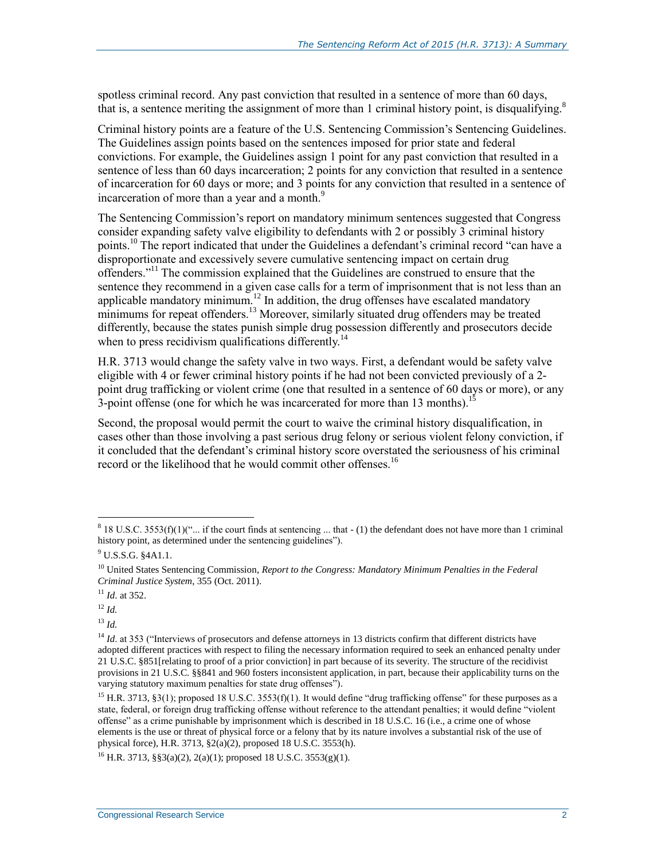spotless criminal record. Any past conviction that resulted in a sentence of more than 60 days, that is, a sentence meriting the assignment of more than 1 criminal history point, is disqualifying. 8

Criminal history points are a feature of the U.S. Sentencing Commission's Sentencing Guidelines. The Guidelines assign points based on the sentences imposed for prior state and federal convictions. For example, the Guidelines assign 1 point for any past conviction that resulted in a sentence of less than 60 days incarceration; 2 points for any conviction that resulted in a sentence of incarceration for 60 days or more; and 3 points for any conviction that resulted in a sentence of incarceration of more than a year and a month.<sup>9</sup>

The Sentencing Commission's report on mandatory minimum sentences suggested that Congress consider expanding safety valve eligibility to defendants with 2 or possibly 3 criminal history points.<sup>10</sup> The report indicated that under the Guidelines a defendant's criminal record "can have a disproportionate and excessively severe cumulative sentencing impact on certain drug offenders."<sup>11</sup> The commission explained that the Guidelines are construed to ensure that the sentence they recommend in a given case calls for a term of imprisonment that is not less than an applicable mandatory minimum.<sup>12</sup> In addition, the drug offenses have escalated mandatory minimums for repeat offenders.<sup>13</sup> Moreover, similarly situated drug offenders may be treated differently, because the states punish simple drug possession differently and prosecutors decide when to press recidivism qualifications differently.<sup>14</sup>

H.R. 3713 would change the safety valve in two ways. First, a defendant would be safety valve eligible with 4 or fewer criminal history points if he had not been convicted previously of a 2 point drug trafficking or violent crime (one that resulted in a sentence of 60 days or more), or any 3-point offense (one for which he was incarcerated for more than 13 months).<sup>15</sup>

Second, the proposal would permit the court to waive the criminal history disqualification, in cases other than those involving a past serious drug felony or serious violent felony conviction, if it concluded that the defendant's criminal history score overstated the seriousness of his criminal record or the likelihood that he would commit other offenses.<sup>16</sup>

 $\overline{a}$ 

<sup>13</sup> *Id.*

<sup>16</sup> H.R. 3713, §§3(a)(2), 2(a)(1); proposed 18 U.S.C. 3553(g)(1).

 $818$  U.S.C. 3553(f)(1)("... if the court finds at sentencing ... that - (1) the defendant does not have more than 1 criminal history point, as determined under the sentencing guidelines").

<sup>&</sup>lt;sup>9</sup> U.S.S.G. §4A1.1.

<sup>&</sup>lt;sup>10</sup> United States Sentencing Commission, *Report to the Congress: Mandatory Minimum Penalties in the Federal Criminal Justice System*, 355 (Oct. 2011).

<sup>11</sup> *Id*. at 352.

<sup>12</sup> *Id.*

<sup>&</sup>lt;sup>14</sup> *Id.* at 353 ("Interviews of prosecutors and defense attorneys in 13 districts confirm that different districts have adopted different practices with respect to filing the necessary information required to seek an enhanced penalty under 21 U.S.C. §851[relating to proof of a prior conviction] in part because of its severity. The structure of the recidivist provisions in 21 U.S.C. §§841 and 960 fosters inconsistent application, in part, because their applicability turns on the varying statutory maximum penalties for state drug offenses").

<sup>&</sup>lt;sup>15</sup> H.R. 3713, §3(1); proposed 18 U.S.C. 3553(f)(1). It would define "drug trafficking offense" for these purposes as a state, federal, or foreign drug trafficking offense without reference to the attendant penalties; it would define "violent offense" as a crime punishable by imprisonment which is described in 18 U.S.C. 16 (i.e., a crime one of whose elements is the use or threat of physical force or a felony that by its nature involves a substantial risk of the use of physical force), H.R. 3713, §2(a)(2), proposed 18 U.S.C. 3553(h).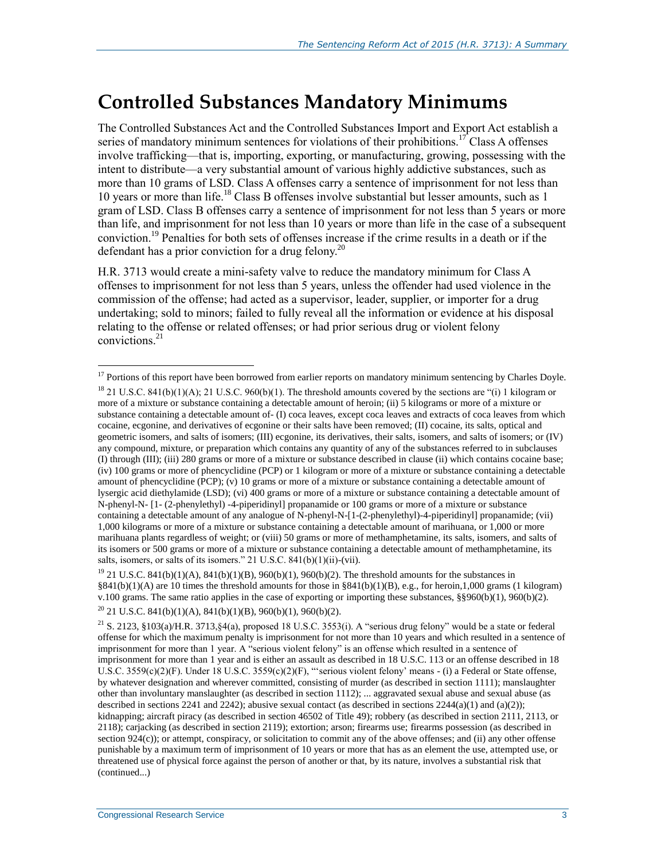#### **Controlled Substances Mandatory Minimums**

The Controlled Substances Act and the Controlled Substances Import and Export Act establish a series of mandatory minimum sentences for violations of their prohibitions.<sup>17</sup> Class A offenses involve trafficking—that is, importing, exporting, or manufacturing, growing, possessing with the intent to distribute—a very substantial amount of various highly addictive substances, such as more than 10 grams of LSD. Class A offenses carry a sentence of imprisonment for not less than 10 years or more than life.<sup>18</sup> Class B offenses involve substantial but lesser amounts, such as 1 gram of LSD. Class B offenses carry a sentence of imprisonment for not less than 5 years or more than life, and imprisonment for not less than 10 years or more than life in the case of a subsequent conviction.<sup>19</sup> Penalties for both sets of offenses increase if the crime results in a death or if the defendant has a prior conviction for a drug felony.<sup>20</sup>

[H.R. 3713](http://www.congress.gov/cgi-lis/bdquery/z?d114:H.R.3713:) would create a mini-safety valve to reduce the mandatory minimum for Class A offenses to imprisonment for not less than 5 years, unless the offender had used violence in the commission of the offense; had acted as a supervisor, leader, supplier, or importer for a drug undertaking; sold to minors; failed to fully reveal all the information or evidence at his disposal relating to the offense or related offenses; or had prior serious drug or violent felony convictions.<sup>21</sup>

 $\overline{a}$ <sup>17</sup> Portions of this report have been borrowed from earlier reports on mandatory minimum sentencing by Charles Doyle.

 $^{18}$  21 U.S.C. 841(b)(1)(A); 21 U.S.C. 960(b)(1). The threshold amounts covered by the sections are "(i) 1 kilogram or more of a mixture or substance containing a detectable amount of heroin; (ii) 5 kilograms or more of a mixture or substance containing a detectable amount of- (I) coca leaves, except coca leaves and extracts of coca leaves from which cocaine, ecgonine, and derivatives of ecgonine or their salts have been removed; (II) cocaine, its salts, optical and geometric isomers, and salts of isomers; (III) ecgonine, its derivatives, their salts, isomers, and salts of isomers; or (IV) any compound, mixture, or preparation which contains any quantity of any of the substances referred to in subclauses (I) through (III); (iii) 280 grams or more of a mixture or substance described in clause (ii) which contains cocaine base; (iv) 100 grams or more of phencyclidine (PCP) or 1 kilogram or more of a mixture or substance containing a detectable amount of phencyclidine (PCP); (v) 10 grams or more of a mixture or substance containing a detectable amount of lysergic acid diethylamide (LSD); (vi) 400 grams or more of a mixture or substance containing a detectable amount of N-phenyl-N- [1- (2-phenylethyl) -4-piperidinyl] propanamide or 100 grams or more of a mixture or substance containing a detectable amount of any analogue of N-phenyl-N-[1-(2-phenylethyl)-4-piperidinyl] propanamide; (vii) 1,000 kilograms or more of a mixture or substance containing a detectable amount of marihuana, or 1,000 or more marihuana plants regardless of weight; or (viii) 50 grams or more of methamphetamine, its salts, isomers, and salts of its isomers or 500 grams or more of a mixture or substance containing a detectable amount of methamphetamine, its salts, isomers, or salts of its isomers." 21 U.S.C. 841(b)(1)(ii)-(vii).

<sup>&</sup>lt;sup>19</sup> 21 U.S.C. 841(b)(1)(A), 841(b)(1)(B), 960(b)(1), 960(b)(2). The threshold amounts for the substances in §841(b)(1)(A) are 10 times the threshold amounts for those in §841(b)(1)(B), e.g., for heroin,1,000 grams (1 kilogram) v.100 grams. The same ratio applies in the case of exporting or importing these substances, §§960(b)(1), 960(b)(2).

 $20$  21 U.S.C. 841(b)(1)(A), 841(b)(1)(B), 960(b)(1), 960(b)(2).

<sup>&</sup>lt;sup>21</sup> S. 2123, §103(a)/H.R. 3713, §4(a), proposed 18 U.S.C. 3553(i). A "serious drug felony" would be a state or federal offense for which the maximum penalty is imprisonment for not more than 10 years and which resulted in a sentence of imprisonment for more than 1 year. A "serious violent felony" is an offense which resulted in a sentence of imprisonment for more than 1 year and is either an assault as described in 18 U.S.C. 113 or an offense described in 18 U.S.C. 3559(c)(2)(F). Under 18 U.S.C. 3559(c)(2)(F), "'serious violent felony' means - (i) a Federal or State offense, by whatever designation and wherever committed, consisting of murder (as described in section 1111); manslaughter other than involuntary manslaughter (as described in section 1112); ... aggravated sexual abuse and sexual abuse (as described in sections 2241 and 2242); abusive sexual contact (as described in sections 2244(a)(1) and (a)(2)); kidnapping; aircraft piracy (as described in section 46502 of Title 49); robbery (as described in section 2111, 2113, or 2118); carjacking (as described in section 2119); extortion; arson; firearms use; firearms possession (as described in section  $924(c)$ ; or attempt, conspiracy, or solicitation to commit any of the above offenses; and (ii) any other offense punishable by a maximum term of imprisonment of 10 years or more that has as an element the use, attempted use, or threatened use of physical force against the person of another or that, by its nature, involves a substantial risk that (continued...)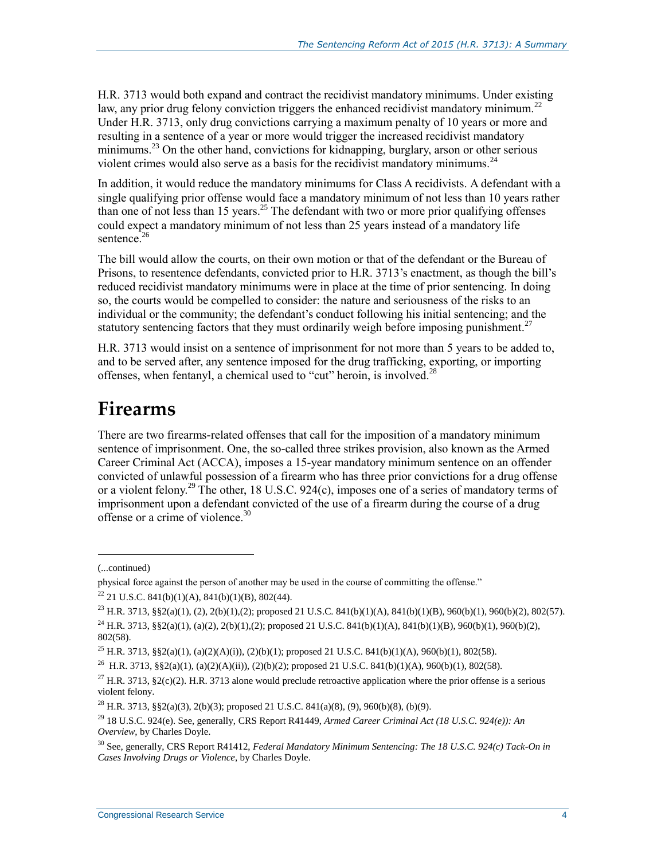H.R. 3713 would both expand and contract the recidivist mandatory minimums. Under existing law, any prior drug felony conviction triggers the enhanced recidivist mandatory minimum.<sup>22</sup> Under [H.R. 3713,](http://www.congress.gov/cgi-lis/bdquery/z?d114:H.R.3713:) only drug convictions carrying a maximum penalty of 10 years or more and resulting in a sentence of a year or more would trigger the increased recidivist mandatory minimums.<sup>23</sup> On the other hand, convictions for kidnapping, burglary, arson or other serious violent crimes would also serve as a basis for the recidivist mandatory minimums.<sup>24</sup>

In addition, it would reduce the mandatory minimums for Class A recidivists. A defendant with a single qualifying prior offense would face a mandatory minimum of not less than 10 years rather than one of not less than 15 years.<sup>25</sup> The defendant with two or more prior qualifying offenses could expect a mandatory minimum of not less than 25 years instead of a mandatory life sentence. $26$ 

The bill would allow the courts, on their own motion or that of the defendant or the Bureau of Prisons, to resentence defendants, convicted prior to H.R. 3713's enactment, as though the bill's reduced recidivist mandatory minimums were in place at the time of prior sentencing. In doing so, the courts would be compelled to consider: the nature and seriousness of the risks to an individual or the community; the defendant's conduct following his initial sentencing; and the statutory sentencing factors that they must ordinarily weigh before imposing punishment.<sup>27</sup>

[H.R. 3713](http://www.congress.gov/cgi-lis/bdquery/z?d114:H.R.3713:) would insist on a sentence of imprisonment for not more than 5 years to be added to, and to be served after, any sentence imposed for the drug trafficking, exporting, or importing offenses, when fentanyl, a chemical used to "cut" heroin, is involved.<sup>28</sup>

## **Firearms**

There are two firearms-related offenses that call for the imposition of a mandatory minimum sentence of imprisonment. One, the so-called three strikes provision, also known as the Armed Career Criminal Act (ACCA), imposes a 15-year mandatory minimum sentence on an offender convicted of unlawful possession of a firearm who has three prior convictions for a drug offense or a violent felony.<sup>29</sup> The other, 18 U.S.C. 924(c), imposes one of a series of mandatory terms of imprisonment upon a defendant convicted of the use of a firearm during the course of a drug offense or a crime of violence.<sup>30</sup>

 $\overline{a}$ 

802(58).

<sup>(...</sup>continued)

physical force against the person of another may be used in the course of committing the offense."

 $22$  21 U.S.C. 841(b)(1)(A), 841(b)(1)(B), 802(44).

<sup>&</sup>lt;sup>23</sup> H.R. 3713, §§2(a)(1), (2), 2(b)(1),(2); proposed 21 U.S.C. 841(b)(1)(A), 841(b)(1)(B), 960(b)(1), 960(b)(2), 802(57). <sup>24</sup> H.R. 3713, §§2(a)(1), (a)(2), 2(b)(1),(2); proposed 21 U.S.C. 841(b)(1)(A), 841(b)(1)(B), 960(b)(1), 960(b)(2),

<sup>&</sup>lt;sup>25</sup> H.R. 3713, §§2(a)(1), (a)(2)(A)(i)), (2)(b)(1); proposed 21 U.S.C. 841(b)(1)(A), 960(b)(1), 802(58).

<sup>&</sup>lt;sup>26</sup> H.R. 3713, §§2(a)(1), (a)(2)(A)(ii)), (2)(b)(2); proposed 21 U.S.C. 841(b)(1)(A), 960(b)(1), 802(58).

<sup>&</sup>lt;sup>27</sup> H.R. 3713, §2(c)(2). H.R. 3713 alone would preclude retroactive application where the prior offense is a serious violent felony.

<sup>&</sup>lt;sup>28</sup> H.R. 3713, §§2(a)(3), 2(b)(3); proposed 21 U.S.C. 841(a)(8), (9), 960(b)(8), (b)(9).

<sup>&</sup>lt;sup>29</sup> 18 U.S.C. 924(e). See, generally, CRS Report R41449, *Armed Career Criminal Act (18 U.S.C. 924(e)): An Overview*, by Charles Doyle.

<sup>30</sup> See, generally, CRS Report R41412, *Federal Mandatory Minimum Sentencing: The 18 U.S.C. 924(c) Tack-On in Cases Involving Drugs or Violence*, by Charles Doyle.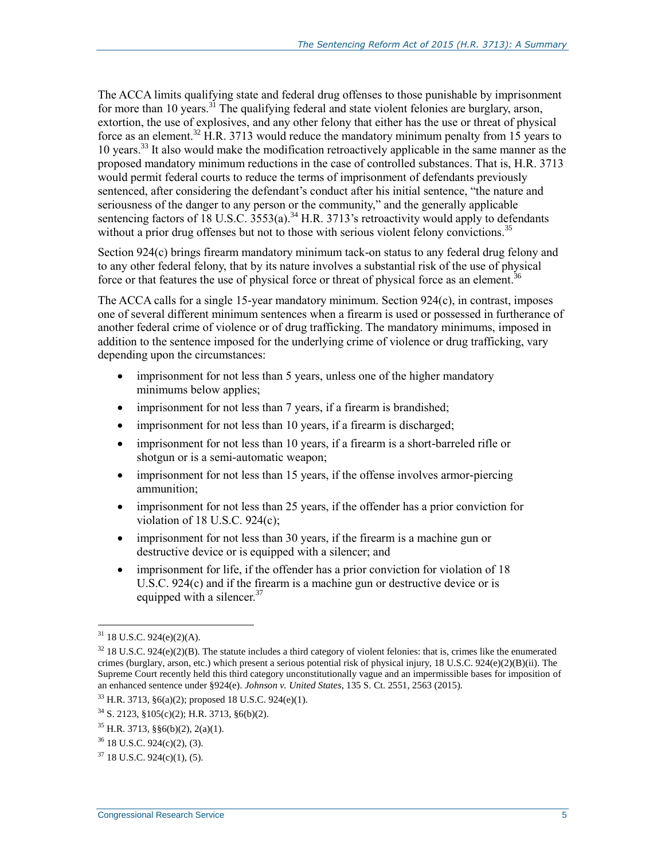The ACCA limits qualifying state and federal drug offenses to those punishable by imprisonment for more than 10 years.<sup>31</sup> The qualifying federal and state violent felonies are burglary, arson, extortion, the use of explosives, and any other felony that either has the use or threat of physical force as an element.<sup>32</sup> H.R. 3713 would reduce the mandatory minimum penalty from 15 years to 10 years.<sup>33</sup> It also would make the modification retroactively applicable in the same manner as the proposed mandatory minimum reductions in the case of controlled substances. That is, [H.R. 3713](http://www.congress.gov/cgi-lis/bdquery/z?d114:H.R.3713:) would permit federal courts to reduce the terms of imprisonment of defendants previously sentenced, after considering the defendant's conduct after his initial sentence, "the nature and seriousness of the danger to any person or the community," and the generally applicable sentencing factors of 18 U.S.C.  $3553(a)$ .<sup>34</sup> H.R. 3713's retroactivity would apply to defendants without a prior drug offenses but not to those with serious violent felony convictions.<sup>35</sup>

Section 924(c) brings firearm mandatory minimum tack-on status to any federal drug felony and to any other federal felony, that by its nature involves a substantial risk of the use of physical force or that features the use of physical force or threat of physical force as an element.<sup>36</sup>

The ACCA calls for a single 15-year mandatory minimum. Section 924(c), in contrast, imposes one of several different minimum sentences when a firearm is used or possessed in furtherance of another federal crime of violence or of drug trafficking. The mandatory minimums, imposed in addition to the sentence imposed for the underlying crime of violence or drug trafficking, vary depending upon the circumstances:

- imprisonment for not less than 5 years, unless one of the higher mandatory minimums below applies;
- imprisonment for not less than 7 years, if a firearm is brandished;
- imprisonment for not less than 10 years, if a firearm is discharged;
- imprisonment for not less than 10 years, if a firearm is a short-barreled rifle or shotgun or is a semi-automatic weapon;
- imprisonment for not less than 15 years, if the offense involves armor-piercing ammunition;
- imprisonment for not less than 25 years, if the offender has a prior conviction for violation of 18 U.S.C. 924(c);
- imprisonment for not less than 30 years, if the firearm is a machine gun or destructive device or is equipped with a silencer; and
- imprisonment for life, if the offender has a prior conviction for violation of 18 U.S.C. 924(c) and if the firearm is a machine gun or destructive device or is equipped with a silencer.<sup>37</sup>

 $\overline{a}$ 

<sup>31</sup> 18 U.S.C. 924(e)(2)(A).

 $32$  18 U.S.C. 924(e)(2)(B). The statute includes a third category of violent felonies: that is, crimes like the enumerated crimes (burglary, arson, etc.) which present a serious potential risk of physical injury, 18 U.S.C. 924(e)(2)(B)(ii). The Supreme Court recently held this third category unconstitutionally vague and an impermissible bases for imposition of an enhanced sentence under §924(e). *Johnson v. United States*, 135 S. Ct. 2551, 2563 (2015).

 $33$  H.R. 3713, §6(a)(2); proposed 18 U.S.C. 924(e)(1).

 $34$  S. 2123, §105(c)(2); H.R. 3713, §6(b)(2).

 $35$  H.R. 3713, §§6(b)(2), 2(a)(1).

<sup>36</sup> 18 U.S.C. 924(c)(2), (3).

 $37$  18 U.S.C. 924(c)(1), (5).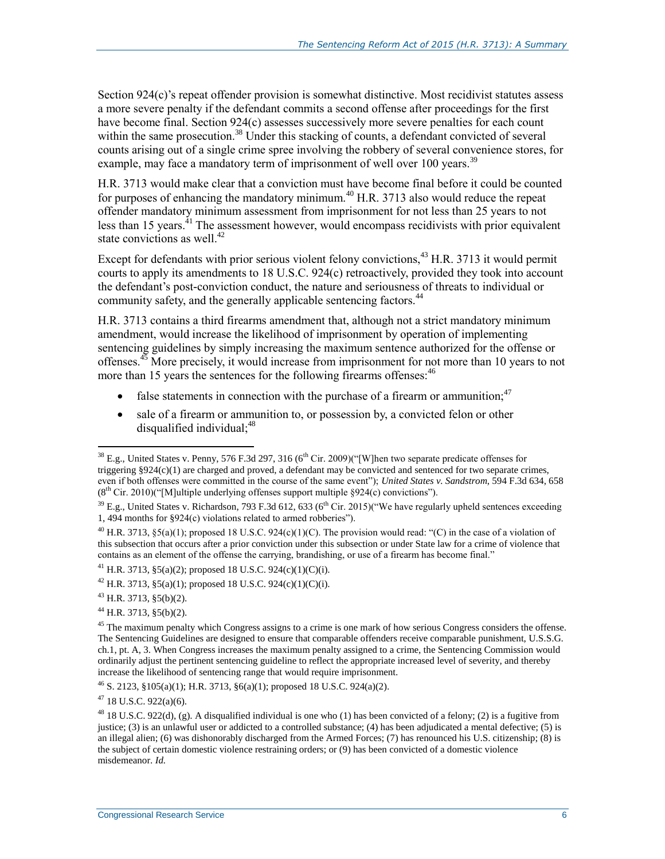Section 924(c)'s repeat offender provision is somewhat distinctive. Most recidivist statutes assess a more severe penalty if the defendant commits a second offense after proceedings for the first have become final. Section 924(c) assesses successively more severe penalties for each count within the same prosecution.<sup>38</sup> Under this stacking of counts, a defendant convicted of several counts arising out of a single crime spree involving the robbery of several convenience stores, for example, may face a mandatory term of imprisonment of well over 100 years.<sup>39</sup>

[H.R. 3713](http://www.congress.gov/cgi-lis/bdquery/z?d114:H.R.3713:) would make clear that a conviction must have become final before it could be counted for purposes of enhancing the mandatory minimum.<sup>40</sup> H.R. 3713 also would reduce the repeat offender mandatory minimum assessment from imprisonment for not less than 25 years to not less than 15 years.<sup>41</sup> The assessment however, would encompass recidivists with prior equivalent state convictions as well.<sup>42</sup>

Except for defendants with prior serious violent felony convictions,<sup>43</sup> [H.R. 3713](http://www.congress.gov/cgi-lis/bdquery/z?d114:H.R.3713:) it would permit courts to apply its amendments to 18 U.S.C. 924(c) retroactively, provided they took into account the defendant's post-conviction conduct, the nature and seriousness of threats to individual or community safety, and the generally applicable sentencing factors.<sup>44</sup>

H.R. 3713 contains a third firearms amendment that, although not a strict mandatory minimum amendment, would increase the likelihood of imprisonment by operation of implementing sentencing guidelines by simply increasing the maximum sentence authorized for the offense or offenses. $45$  More precisely, it would increase from imprisonment for not more than 10 years to not more than 15 years the sentences for the following firearms offenses:<sup>46</sup>

- false statements in connection with the purchase of a firearm or ammunition;  $47$
- sale of a firearm or ammunition to, or possession by, a convicted felon or other disqualified individual; $48$

<sup>41</sup> H.R. 3713, §5(a)(2); proposed 18 U.S.C. 924(c)(1)(C)(i).

 $\overline{a}$ 

 $47$  18 U.S.C. 922(a)(6).

 $38$  E.g., United States v. Penny, 576 F.3d 297, 316 (6<sup>th</sup> Cir. 2009)("[W]hen two separate predicate offenses for triggering §924(c)(1) are charged and proved, a defendant may be convicted and sentenced for two separate crimes, even if both offenses were committed in the course of the same event"); *United States v. Sandstrom*, 594 F.3d 634, 658  $(8<sup>th</sup> Cir. 2010)($  [M]ultiple underlying offenses support multiple §924(c) convictions").

<sup>&</sup>lt;sup>39</sup> E.g., United States v. Richardson, 793 F.3d 612, 633 (6<sup>th</sup> Cir. 2015)("We have regularly upheld sentences exceeding 1, 494 months for §924(c) violations related to armed robberies").

<sup>&</sup>lt;sup>40</sup> H.R. 3713,  $\S5(a)(1)$ ; proposed 18 U.S.C. 924(c)(1)(C). The provision would read: "(C) in the case of a violation of this subsection that occurs after a prior conviction under this subsection or under State law for a crime of violence that contains as an element of the offense the carrying, brandishing, or use of a firearm has become final."

<sup>&</sup>lt;sup>42</sup> H.R. 3713, §5(a)(1); proposed 18 U.S.C. 924(c)(1)(C)(i).

 $43$  H.R. 3713, §5(b)(2).

 $44$  H.R. 3713, §5(b)(2).

<sup>&</sup>lt;sup>45</sup> The maximum penalty which Congress assigns to a crime is one mark of how serious Congress considers the offense. The Sentencing Guidelines are designed to ensure that comparable offenders receive comparable punishment, U.S.S.G. ch.1, pt. A, 3. When Congress increases the maximum penalty assigned to a crime, the Sentencing Commission would ordinarily adjust the pertinent sentencing guideline to reflect the appropriate increased level of severity, and thereby increase the likelihood of sentencing range that would require imprisonment.

 $^{46}$  S. 2123, §105(a)(1); H.R. 3713, §6(a)(1); proposed 18 U.S.C. 924(a)(2).

<sup>&</sup>lt;sup>48</sup> 18 U.S.C. 922(d), (g). A disqualified individual is one who (1) has been convicted of a felony; (2) is a fugitive from justice; (3) is an unlawful user or addicted to a controlled substance; (4) has been adjudicated a mental defective; (5) is an illegal alien; (6) was dishonorably discharged from the Armed Forces; (7) has renounced his U.S. citizenship; (8) is the subject of certain domestic violence restraining orders; or (9) has been convicted of a domestic violence misdemeanor. *Id.*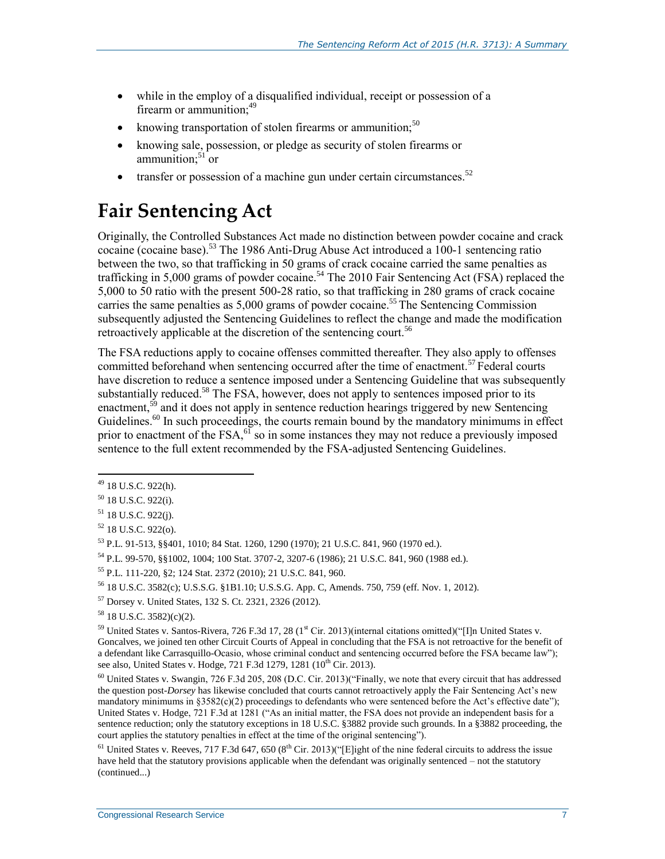- while in the employ of a disqualified individual, receipt or possession of a firearm or ammunition;<sup>49</sup>
- knowing transportation of stolen firearms or ammunition; $50$
- knowing sale, possession, or pledge as security of stolen firearms or ammunition: $51$  or
- transfer or possession of a machine gun under certain circumstances.<sup>52</sup>

### **Fair Sentencing Act**

Originally, the Controlled Substances Act made no distinction between powder cocaine and crack cocaine (cocaine base).<sup>53</sup> The 1986 Anti-Drug Abuse Act introduced a 100-1 sentencing ratio between the two, so that trafficking in 50 grams of crack cocaine carried the same penalties as trafficking in 5,000 grams of powder cocaine.<sup>54</sup> The 2010 Fair Sentencing Act (FSA) replaced the 5,000 to 50 ratio with the present 500-28 ratio, so that trafficking in 280 grams of crack cocaine carries the same penalties as  $5,000$  grams of powder cocaine.<sup>55</sup> The Sentencing Commission subsequently adjusted the Sentencing Guidelines to reflect the change and made the modification retroactively applicable at the discretion of the sentencing court.<sup>56</sup>

The FSA reductions apply to cocaine offenses committed thereafter. They also apply to offenses committed beforehand when sentencing occurred after the time of enactment.<sup>57</sup> Federal courts have discretion to reduce a sentence imposed under a Sentencing Guideline that was subsequently substantially reduced.<sup>58</sup> The FSA, however, does not apply to sentences imposed prior to its enactment,<sup>59</sup> and it does not apply in sentence reduction hearings triggered by new Sentencing Guidelines.<sup>60</sup> In such proceedings, the courts remain bound by the mandatory minimums in effect prior to enactment of the FSA,<sup>61</sup> so in some instances they may not reduce a previously imposed sentence to the full extent recommended by the FSA-adjusted Sentencing Guidelines.

 $\overline{a}$ 

<sup>54</sup> P.L. 99-570, §§1002, 1004; 100 Stat. 3707-2, 3207-6 (1986); 21 U.S.C. 841, 960 (1988 ed.).

<sup>&</sup>lt;sup>49</sup> 18 U.S.C. 922(h).

<sup>50</sup> 18 U.S.C. 922(i).

 $51$  18 U.S.C. 922(j).

 $52$  18 U.S.C. 922(o).

<sup>53</sup> P.L. 91-513, §§401, 1010; 84 Stat. 1260, 1290 (1970); 21 U.S.C. 841, 960 (1970 ed.).

<sup>55</sup> P.L. 111-220, §2; 124 Stat. 2372 (2010); 21 U.S.C. 841, 960.

<sup>56</sup> 18 U.S.C. 3582(c); U.S.S.G. §1B1.10; U.S.S.G. App. C, Amends. 750, 759 (eff. Nov. 1, 2012).

<sup>57</sup> Dorsey v. United States, 132 S. Ct. 2321, 2326 (2012).

 $58$  18 U.S.C. 3582)(c)(2).

<sup>59</sup> United States v. Santos-Rivera, 726 F.3d 17, 28 (1<sup>st</sup> Cir. 2013)(internal citations omitted)("[I]n United States v. Goncalves, we joined ten other Circuit Courts of Appeal in concluding that the FSA is not retroactive for the benefit of a defendant like Carrasquillo-Ocasio, whose criminal conduct and sentencing occurred before the FSA became law"); see also, United States v. Hodge, 721 F.3d 1279, 1281 (10<sup>th</sup> Cir. 2013).

<sup>60</sup> United States v. Swangin, 726 F.3d 205, 208 (D.C. Cir. 2013)("Finally, we note that every circuit that has addressed the question post-*Dorsey* has likewise concluded that courts cannot retroactively apply the Fair Sentencing Act's new mandatory minimums in  $$3582(c)(2)$  proceedings to defendants who were sentenced before the Act's effective date"); United States v. Hodge, 721 F.3d at 1281 ("As an initial matter, the FSA does not provide an independent basis for a sentence reduction; only the statutory exceptions in 18 U.S.C. §3882 provide such grounds. In a §3882 proceeding, the court applies the statutory penalties in effect at the time of the original sentencing").

<sup>&</sup>lt;sup>61</sup> United States v. Reeves, 717 F.3d 647, 650 (8<sup>th</sup> Cir. 2013)("[E]ight of the nine federal circuits to address the issue have held that the statutory provisions applicable when the defendant was originally sentenced – not the statutory (continued...)